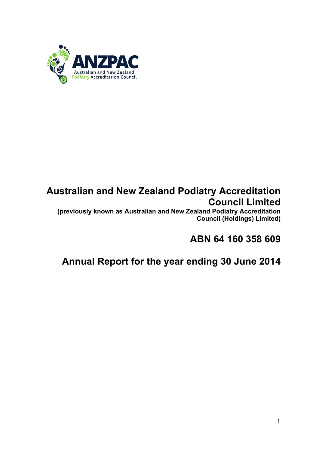

# **Australian and New Zealand Podiatry Accreditation Council Limited**

**(previously known as Australian and New Zealand Podiatry Accreditation Council (Holdings) Limited)** 

**ABN 64 160 358 609**

# **Annual Report for the year ending 30 June 2014**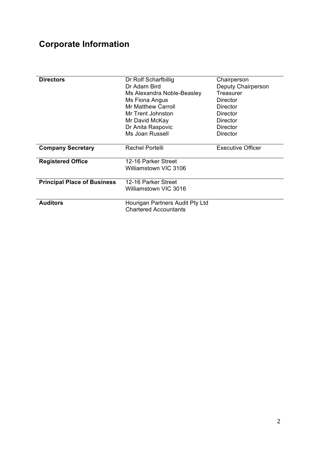# **Corporate Information**

| <b>Directors</b>                   | Dr Rolf Scharfbillig            | Chairperson              |
|------------------------------------|---------------------------------|--------------------------|
|                                    | Dr Adam Bird                    | Deputy Chairperson       |
|                                    | Ms Alexandra Noble-Beasley      | Treasurer                |
|                                    | Ms Fiona Angus                  | Director                 |
|                                    | <b>Mr Matthew Carroll</b>       | Director                 |
|                                    | Mr Trent Johnston               | Director                 |
|                                    | Mr David McKay                  | Director                 |
|                                    | Dr Anita Raspovic               | Director                 |
|                                    | Ms Joan Russell                 | Director                 |
|                                    |                                 |                          |
| <b>Company Secretary</b>           | Rachel Portelli                 | <b>Executive Officer</b> |
|                                    |                                 |                          |
| <b>Registered Office</b>           | 12-16 Parker Street             |                          |
|                                    | Williamstown VIC 3106           |                          |
|                                    |                                 |                          |
| <b>Principal Place of Business</b> | 12-16 Parker Street             |                          |
|                                    | Williamstown VIC 3016           |                          |
|                                    |                                 |                          |
| <b>Auditors</b>                    | Hourigan Partners Audit Pty Ltd |                          |
|                                    | <b>Chartered Accountants</b>    |                          |
|                                    |                                 |                          |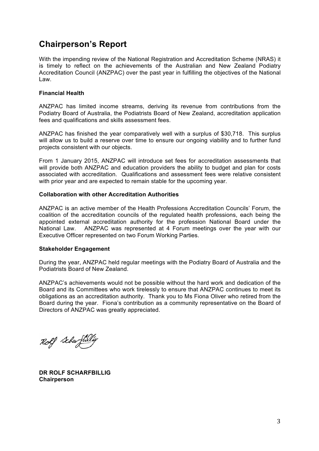## **Chairperson's Report**

With the impending review of the National Registration and Accreditation Scheme (NRAS) it is timely to reflect on the achievements of the Australian and New Zealand Podiatry Accreditation Council (ANZPAC) over the past year in fulfilling the objectives of the National Law.

#### **Financial Health**

ANZPAC has limited income streams, deriving its revenue from contributions from the Podiatry Board of Australia, the Podiatrists Board of New Zealand, accreditation application fees and qualifications and skills assessment fees.

ANZPAC has finished the year comparatively well with a surplus of \$30,718. This surplus will allow us to build a reserve over time to ensure our ongoing viability and to further fund projects consistent with our objects.

From 1 January 2015, ANZPAC will introduce set fees for accreditation assessments that will provide both ANZPAC and education providers the ability to budget and plan for costs associated with accreditation. Qualifications and assessment fees were relative consistent with prior year and are expected to remain stable for the upcoming year.

#### **Collaboration with other Accreditation Authorities**

ANZPAC is an active member of the Health Professions Accreditation Councils' Forum, the coalition of the accreditation councils of the regulated health professions, each being the appointed external accreditation authority for the profession National Board under the National Law. ANZPAC was represented at 4 Forum meetings over the year with our Executive Officer represented on two Forum Working Parties.

#### **Stakeholder Engagement**

During the year, ANZPAC held regular meetings with the Podiatry Board of Australia and the Podiatrists Board of New Zealand.

ANZPAC's achievements would not be possible without the hard work and dedication of the Board and its Committees who work tirelessly to ensure that ANZPAC continues to meet its obligations as an accreditation authority. Thank you to Ms Fiona Oliver who retired from the Board during the year. Fiona's contribution as a community representative on the Board of Directors of ANZPAC was greatly appreciated.

Rolf Schaftslig

**DR ROLF SCHARFBILLIG Chairperson**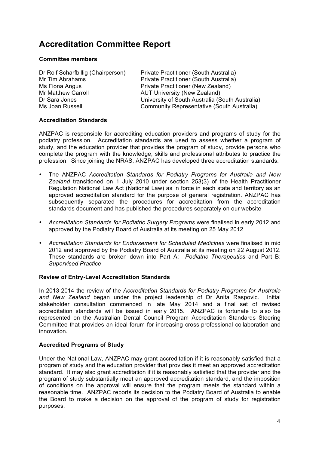## **Accreditation Committee Report**

#### **Committee members**

| Dr Rolf Scharfbillig (Chairperson) |
|------------------------------------|
| Mr Tim Abrahams                    |
| Ms Fiona Angus                     |
| Mr Matthew Carroll                 |
| Dr Sara Jones                      |
| Ms Joan Russell                    |

Private Practitioner (South Australia) Private Practitioner (South Australia) Private Practitioner (New Zealand) AUT University (New Zealand) University of South Australia (South Australia) Ms Joan Russell Community Representative (South Australia)

### **Accreditation Standards**

ANZPAC is responsible for accrediting education providers and programs of study for the podiatry profession. Accreditation standards are used to assess whether a program of study, and the education provider that provides the program of study, provide persons who complete the program with the knowledge, skills and professional attributes to practice the profession. Since joining the NRAS, ANZPAC has developed three accreditation standards:

- The ANZPAC *Accreditation Standards for Podiatry Programs for Australia and New Zealand* transitioned on 1 July 2010 under section 253(3) of the Health Practitioner Regulation National Law Act (National Law) as in force in each state and territory as an approved accreditation standard for the purpose of general registration. ANZPAC has subsequently separated the procedures for accreditation from the accreditation standards document and has published the procedures separately on our website
- *Accreditation Standards for Podiatric Surgery Programs* were finalised in early 2012 and approved by the Podiatry Board of Australia at its meeting on 25 May 2012
- *Accreditation Standards for Endorsement for Scheduled Medicines* were finalised in mid 2012 and approved by the Podiatry Board of Australia at its meeting on 22 August 2012. These standards are broken down into Part A: *Podiatric Therapeutics* and Part B: *Supervised Practice*

#### **Review of Entry-Level Accreditation Standards**

In 2013-2014 the review of the *Accreditation Standards for Podiatry Programs for Australia and New Zealand* began under the project leadership of Dr Anita Raspovic. Initial stakeholder consultation commenced in late May 2014 and a final set of revised accreditation standards will be issued in early 2015. ANZPAC is fortunate to also be represented on the Australian Dental Council Program Accreditation Standards Steering Committee that provides an ideal forum for increasing cross-professional collaboration and innovation.

#### **Accredited Programs of Study**

Under the National Law, ANZPAC may grant accreditation if it is reasonably satisfied that a program of study and the education provider that provides it meet an approved accreditation standard. It may also grant accreditation if it is reasonably satisfied that the provider and the program of study substantially meet an approved accreditation standard, and the imposition of conditions on the approval will ensure that the program meets the standard within a reasonable time. ANZPAC reports its decision to the Podiatry Board of Australia to enable the Board to make a decision on the approval of the program of study for registration purposes.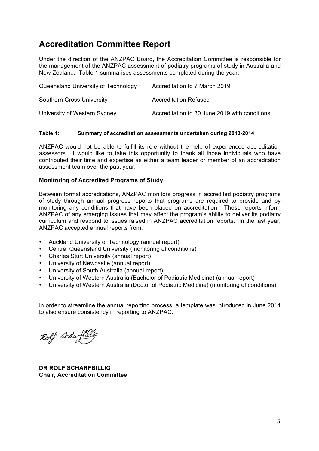## **Accreditation Committee Report**

Under the direction of the ANZPAC Board, the Accreditation Committee is responsible for the management of the ANZPAC assessment of podiatry programs of study in Australia and New Zealand. Table 1 summarises assessments completed during the year.

| Queensland University of Technology | Accreditation to 7 March 2019                 |
|-------------------------------------|-----------------------------------------------|
| <b>Southern Cross University</b>    | <b>Accreditation Refused</b>                  |
| University of Western Sydney        | Accreditation to 30 June 2019 with conditions |

#### **Table 1: Summary of accreditation assessments undertaken during 2013-2014**

ANZPAC would not be able to fulfill its role without the help of experienced accreditation assessors. I would like to take this opportunity to thank all those individuals who have contributed their time and expertise as either a team leader or member of an accreditation assessment team over the past year.

#### **Monitoring of Accredited Programs of Study**

Between formal accreditations, ANZPAC monitors progress in accredited podiatry programs of study through annual progress reports that programs are required to provide and by monitoring any conditions that have been placed on accreditation. These reports inform ANZPAC of any emerging issues that may affect the program's ability to deliver its podiatry curriculum and respond to issues raised in ANZPAC accreditation reports. In the last year, ANZPAC accepted annual reports from:

- Auckland University of Technology (annual report)
- Central Queensland University (monitoring of conditions)
- Charles Sturt University (annual report)
- University of Newcastle (annual report)
- University of South Australia (annual report)
- University of Western Australia (Bachelor of Podiatric Medicine) (annual report)
- University of Western Australia (Doctor of Podiatric Medicine) (monitoring of conditions)

In order to streamline the annual reporting process, a template was introduced in June 2014 to also ensure consistency in reporting to ANZPAC.

Rolf schaftillig

**DR ROLF SCHARFBILLIG Chair, Accreditation Committee**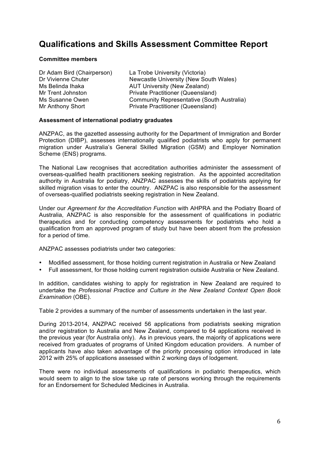## **Qualifications and Skills Assessment Committee Report**

#### **Committee members**

| Dr Adam Bird (Chairperson) | La Trobe University (Victoria)             |
|----------------------------|--------------------------------------------|
| Dr Vivienne Chuter         | Newcastle University (New South Wales)     |
| Ms Belinda Ihaka           | <b>AUT University (New Zealand)</b>        |
| Mr Trent Johnston          | Private Practitioner (Queensland)          |
| Ms Susanne Owen            | Community Representative (South Australia) |
| Mr Anthony Short           | Private Practitioner (Queensland)          |

#### **Assessment of international podiatry graduates**

ANZPAC, as the gazetted assessing authority for the Department of Immigration and Border Protection (DIBP), assesses internationally qualified podiatrists who apply for permanent migration under Australia's General Skilled Migration (GSM) and Employer Nomination Scheme (ENS) programs.

The National Law recognises that accreditation authorities administer the assessment of overseas-qualified health practitioners seeking registration. As the appointed accreditation authority in Australia for podiatry, ANZPAC assesses the skills of podiatrists applying for skilled migration visas to enter the country. ANZPAC is also responsible for the assessment of overseas-qualified podiatrists seeking registration in New Zealand.

Under our *Agreement for the Accreditation Function* with AHPRA and the Podiatry Board of Australia, ANZPAC is also responsible for the assessment of qualifications in podiatric therapeutics and for conducting competency assessments for podiatrists who hold a qualification from an approved program of study but have been absent from the profession for a period of time.

ANZPAC assesses podiatrists under two categories:

- Modified assessment, for those holding current registration in Australia or New Zealand
- Full assessment, for those holding current registration outside Australia or New Zealand.

In addition, candidates wishing to apply for registration in New Zealand are required to undertake the *Professional Practice and Culture in the New Zealand Context Open Book Examination* (OBE).

Table 2 provides a summary of the number of assessments undertaken in the last year.

During 2013-2014, ANZPAC received 56 applications from podiatrists seeking migration and/or registration to Australia and New Zealand, compared to 64 applications received in the previous year (for Australia only). As in previous years, the majority of applications were received from graduates of programs of United Kingdom education providers. A number of applicants have also taken advantage of the priority processing option introduced in late 2012 with 25% of applications assessed within 2 working days of lodgement.

There were no individual assessments of qualifications in podiatric therapeutics, which would seem to align to the slow take up rate of persons working through the requirements for an Endorsement for Scheduled Medicines in Australia.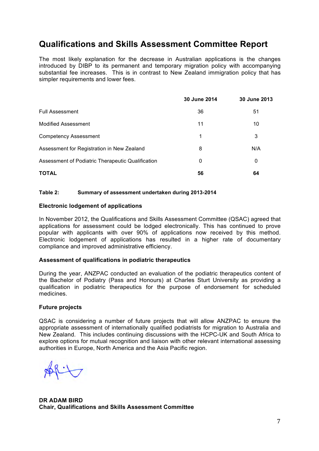## **Qualifications and Skills Assessment Committee Report**

The most likely explanation for the decrease in Australian applications is the changes introduced by DIBP to its permanent and temporary migration policy with accompanying substantial fee increases. This is in contrast to New Zealand immigration policy that has simpler requirements and lower fees.

|                                                   | 30 June 2014 | 30 June 2013 |
|---------------------------------------------------|--------------|--------------|
| <b>Full Assessment</b>                            | 36           | 51           |
| <b>Modified Assessment</b>                        | 11           | 10           |
| <b>Competency Assessment</b>                      | 1            | 3            |
| Assessment for Registration in New Zealand        | 8            | N/A          |
| Assessment of Podiatric Therapeutic Qualification | 0            | 0            |
| <b>TOTAL</b>                                      | 56           | 64           |

#### **Table 2: Summary of assessment undertaken during 2013-2014**

#### **Electronic lodgement of applications**

In November 2012, the Qualifications and Skills Assessment Committee (QSAC) agreed that applications for assessment could be lodged electronically. This has continued to prove popular with applicants with over 90% of applications now received by this method. Electronic lodgement of applications has resulted in a higher rate of documentary compliance and improved administrative efficiency.

#### **Assessment of qualifications in podiatric therapeutics**

During the year, ANZPAC conducted an evaluation of the podiatric therapeutics content of the Bachelor of Podiatry (Pass and Honours) at Charles Sturt University as providing a qualification in podiatric therapeutics for the purpose of endorsement for scheduled medicines.

#### **Future projects**

QSAC is considering a number of future projects that will allow ANZPAC to ensure the appropriate assessment of internationally qualified podiatrists for migration to Australia and New Zealand. This includes continuing discussions with the HCPC-UK and South Africa to explore options for mutual recognition and liaison with other relevant international assessing authorities in Europe, North America and the Asia Pacific region.

**DR ADAM BIRD Chair, Qualifications and Skills Assessment Committee**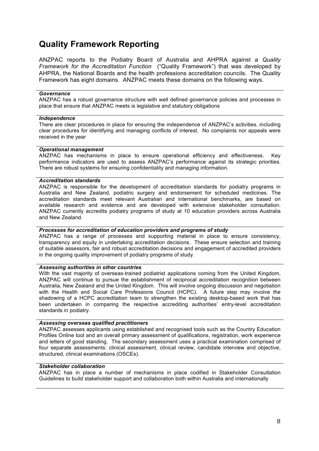## **Quality Framework Reporting**

ANZPAC reports to the Podiatry Board of Australia and AHPRA against a *Quality Framework for the Accreditation Function* ("Quality Framework") that was developed by AHPRA, the National Boards and the health professions accreditation councils. The Quality Framework has eight domains. ANZPAC meets these domains on the following ways.

#### *Governance*

ANZPAC has a robust governance structure with well defined governance policies and processes in place that ensure that ANZPAC meets is legislative and statutory obligations

#### *Independence*

There are clear procedures in place for ensuring the independence of ANZPAC's activities, including clear procedures for identifying and managing conflicts of interest. No complaints nor appeals were received in the year

#### *Operational management*

ANZPAC has mechanisms in place to ensure operational efficiency and effectiveness. Key performance indicators are used to assess ANZPAC's performance against its strategic priorities. There are robust systems for ensuring confidentiality and managing information.

#### *Accreditation standards*

ANZPAC is responsible for the development of accreditation standards for podiatry programs in Australia and New Zealand, podiatric surgery and endorsement for scheduled medicines. The accreditation standards meet relevant Australian and international benchmarks, are based on available research and evidence and are developed with extensive stakeholder consultation. ANZPAC currently accredits podiatry programs of study at 10 education providers across Australia and New Zealand.

#### *Processes for accreditation of education providers and programs of study*

ANZPAC has a range of processes and supporting material in place to ensure consistency, transparency and equity in undertaking accreditation decisions. These ensure selection and training of suitable assessors, fair and robust accreditation decisions and engagement of accredited providers in the ongoing quality improvement of podiatry programs of study.

#### *Assessing authorities in other countries*

With the vast majority of overseas-trained podiatrist applications coming from the United Kingdom, ANZPAC will continue to pursue the establishment of reciprocal accreditation recognition between Australia, New Zealand and the United Kingdom. This will involve ongoing discussion and negotiation with the Health and Social Care Professions Council (HCPC). A future step may involve the shadowing of a HCPC accreditation team to strengthen the existing desktop-based work that has been undertaken in comparing the respective accrediting authorities' entry-level accreditation standards in podiatry.

#### *Assessing overseas qualified practitioners*

ANZPAC assesses applicants using established and recognised tools such as the Country Education Profiles Online tool and an overall primary assessment of qualifications, registration, work experience and letters of good standing. The secondary assessment uses a practical examination comprised of four separate assessments: clinical assessment, clinical review, candidate interview and objective, structured, clinical examinations (OSCEs).

#### *Stakeholder collaboration*

ANZPAC has in place a number of mechanisms in place codified in Stakeholder Consultation Guidelines to build stakeholder support and collaboration both within Australia and internationally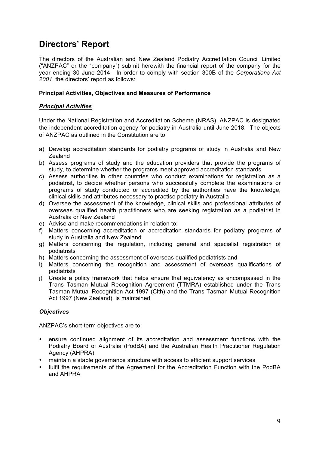## **Directors' Report**

The directors of the Australian and New Zealand Podiatry Accreditation Council Limited ("ANZPAC" or the "company") submit herewith the financial report of the company for the year ending 30 June 2014. In order to comply with section 300B of the *Corporations Act 2001*, the directors' report as follows:

#### **Principal Activities, Objectives and Measures of Performance**

#### *Principal Activities*

Under the National Registration and Accreditation Scheme (NRAS), ANZPAC is designated the independent accreditation agency for podiatry in Australia until June 2018. The objects of ANZPAC as outlined in the Constitution are to:

- a) Develop accreditation standards for podiatry programs of study in Australia and New Zealand
- b) Assess programs of study and the education providers that provide the programs of study, to determine whether the programs meet approved accreditation standards
- c) Assess authorities in other countries who conduct examinations for registration as a podiatrist, to decide whether persons who successfully complete the examinations or programs of study conducted or accredited by the authorities have the knowledge, clinical skills and attributes necessary to practise podiatry in Australia
- d) Oversee the assessment of the knowledge, clinical skills and professional attributes of overseas qualified health practitioners who are seeking registration as a podiatrist in Australia or New Zealand
- e) Advise and make recommendations in relation to:
- f) Matters concerning accreditation or accreditation standards for podiatry programs of study in Australia and New Zealand
- g) Matters concerning the regulation, including general and specialist registration of podiatrists
- h) Matters concerning the assessment of overseas qualified podiatrists and
- i) Matters concerning the recognition and assessment of overseas qualifications of podiatrists
- j) Create a policy framework that helps ensure that equivalency as encompassed in the Trans Tasman Mutual Recognition Agreement (TTMRA) established under the Trans Tasman Mutual Recognition Act 1997 (Clth) and the Trans Tasman Mutual Recognition Act 1997 (New Zealand), is maintained

#### *Objectives*

ANZPAC's short-term objectives are to:

- ensure continued alignment of its accreditation and assessment functions with the Podiatry Board of Australia (PodBA) and the Australian Health Practitioner Regulation Agency (AHPRA)
- maintain a stable governance structure with access to efficient support services
- fulfil the requirements of the Agreement for the Accreditation Function with the PodBA and AHPRA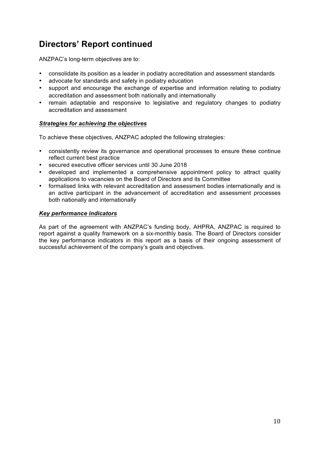ANZPAC's long-term objectives are to:

- consolidate its position as a leader in podiatry accreditation and assessment standards
- advocate for standards and safety in podiatry education
- support and encourage the exchange of expertise and information relating to podiatry accreditation and assessment both nationally and internationally
- remain adaptable and responsive to legislative and regulatory changes to podiatry accreditation and assessment

### *Strategies for achieving the objectives*

To achieve these objectives, ANZPAC adopted the following strategies:

- consistently review its governance and operational processes to ensure these continue reflect current best practice
- secured executive officer services until 30 June 2018
- developed and implemented a comprehensive appointment policy to attract quality applications to vacancies on the Board of Directors and its Committee
- formalised links with relevant accreditation and assessment bodies internationally and is an active participant in the advancement of accreditation and assessment processes both nationally and internationally

### *Key performance indicators*

As part of the agreement with ANZPAC's funding body, AHPRA, ANZPAC is required to report against a quality framework on a six-monthly basis. The Board of Directors consider the key performance indicators in this report as a basis of their ongoing assessment of successful achievement of the company's goals and objectives.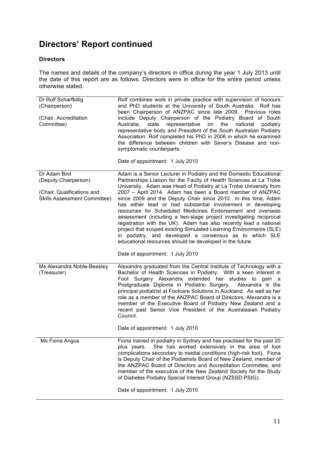### **Directors**

The names and details of the company's directors in office during the year 1 July 2013 until the date of this report are as follows. Directors were in office for the entire period unless otherwise stated.

| Dr Rolf Scharfbillig<br>(Chairperson)<br>(Chair, Accreditation<br>Committee)                              | Rolf combines work in private practice with supervision of honours<br>and PhD students at the University of South Australia. Rolf has<br>been Chairperson of ANZPAC since late 2009. Previous roles<br>include Deputy Chairperson of the Podiatry Board of South<br>Australia,<br>state<br>representative<br>the<br>national<br>on<br>podiatry<br>representative body and President of the South Australian Podiatry<br>Association. Rolf completed his PhD in 2006 in which he examined<br>the difference between children with Sever's Disease and non-<br>symptomatic counterparts.<br>Date of appointment: 1 July 2010                                                                                                                                                                                        |
|-----------------------------------------------------------------------------------------------------------|-------------------------------------------------------------------------------------------------------------------------------------------------------------------------------------------------------------------------------------------------------------------------------------------------------------------------------------------------------------------------------------------------------------------------------------------------------------------------------------------------------------------------------------------------------------------------------------------------------------------------------------------------------------------------------------------------------------------------------------------------------------------------------------------------------------------|
| Dr Adam Bird<br>(Deputy Chairperson)<br>(Chair, Qualifications and<br><b>Skills Assessment Committee)</b> | Adam is a Senior Lecturer in Podiatry and the Domestic Educational<br>Partnerships Liaison for the Faulty of Health Sciences at La Trobe<br>University. Adam was Head of Podiatry at La Trobe University from<br>2007 - April 2014. Adam has been a Board member of ANZPAC<br>since 2009 and the Deputy Chair since 2010. In this time, Adam<br>has either lead or had substantial involvement in developing<br>resources for Scheduled Medicines Endorsement and overseas<br>assessment (including a two-stage project investigating reciprocal<br>registration with the UK). Adam has also recently lead a national<br>project that scoped existing Simulated Learning Environments (SLE)<br>in podiatry, and developed a consensus as to which SLE<br>educational resources should be developed in the future. |
|                                                                                                           | Date of appointment: 1 July 2010                                                                                                                                                                                                                                                                                                                                                                                                                                                                                                                                                                                                                                                                                                                                                                                  |
| Ms Alexandra Noble-Beasley<br>(Treasurer)                                                                 | Alexandra graduated from the Central Institute of Technology with a<br>Bachelor of Health Sciences in Podiatry. With a keen interest in<br>Foot Surgery Alexandra extended her studies to gain a<br>Postgraduate Diploma in Podiatric Surgery. Alexandra is the<br>principal podiatrist at Footcare Solutions in Auckland. As well as her<br>role as a member of the ANZPAC Board of Directors, Alexandra is a<br>member of the Executive Board of Podiatry New Zealand and a<br>recent past Senior Vice President of the Australasian Podiatry<br>Council.                                                                                                                                                                                                                                                       |
|                                                                                                           | Date of appointment: 1 July 2010                                                                                                                                                                                                                                                                                                                                                                                                                                                                                                                                                                                                                                                                                                                                                                                  |
| Ms Fiona Angus                                                                                            | Fiona trained in podiatry in Sydney and has practised for the past 20<br>She has worked extensively in the area of foot<br>plus years.<br>complications secondary to medial conditions (high-risk foot). Fiona<br>is Deputy Chair of the Podiatrists Board of New Zealand, member of<br>the ANZPAC Board of Directors and Accreditation Committee, and<br>member of the executive of the New Zealand Society for the Study<br>of Diabetes Podiatry Special Interest Group (NZSSD PSIG).<br>Date of appointment: 1 July 2010                                                                                                                                                                                                                                                                                       |
|                                                                                                           |                                                                                                                                                                                                                                                                                                                                                                                                                                                                                                                                                                                                                                                                                                                                                                                                                   |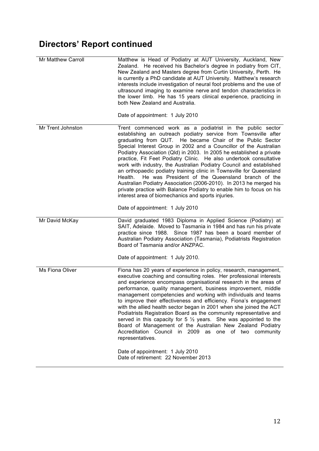| <b>Mr Matthew Carroll</b> | Matthew is Head of Podiatry at AUT University, Auckland, New<br>Zealand. He received his Bachelor's degree in podiatry from CIT,<br>New Zealand and Masters degree from Curtin University, Perth. He<br>is currently a PhD candidate at AUT University. Matthew's research<br>interests include investigation of neural foot problems and the use of<br>ultrasound imaging to examine nerve and tendon characteristics in<br>the lower limb. He has 15 years clinical experience, practicing in<br>both New Zealand and Australia.<br>Date of appointment: 1 July 2010                                                                                                                                                                                                                                                                                             |
|---------------------------|--------------------------------------------------------------------------------------------------------------------------------------------------------------------------------------------------------------------------------------------------------------------------------------------------------------------------------------------------------------------------------------------------------------------------------------------------------------------------------------------------------------------------------------------------------------------------------------------------------------------------------------------------------------------------------------------------------------------------------------------------------------------------------------------------------------------------------------------------------------------|
| Mr Trent Johnston         | Trent commenced work as a podiatrist in the public sector<br>establishing an outreach podiatry service from Townsville after<br>graduating from QUT. He became Chair of the Public Sector<br>Special Interest Group in 2002 and a Councillor of the Australian<br>Podiatry Association (Qld) in 2003. In 2005 he established a private<br>practice, Fit Feet Podiatry Clinic. He also undertook consultative<br>work with industry, the Australian Podiatry Council and established<br>an orthopaedic podiatry training clinic in Townsville for Queensland<br>He was President of the Queensland branch of the<br>Health.<br>Australian Podiatry Association (2006-2010). In 2013 he merged his<br>private practice with Balance Podiatry to enable him to focus on his<br>interest area of biomechanics and sports injuries.<br>Date of appointment: 1 July 2010 |
| Mr David McKay            | David graduated 1983 Diploma in Applied Science (Podiatry) at<br>SAIT, Adelaide. Moved to Tasmania in 1984 and has run his private<br>practice since 1988. Since 1987 has been a board member of<br>Australian Podiatry Association (Tasmania), Podiatrists Registration<br>Board of Tasmania and/or ANZPAC.<br>Date of appointment: 1 July 2010.                                                                                                                                                                                                                                                                                                                                                                                                                                                                                                                  |
| Ms Fiona Oliver           | Fiona has 20 years of experience in policy, research, management,<br>executive coaching and consulting roles. Her professional interests<br>and experience encompass organisational research in the areas of<br>performance, quality management, business improvement, middle<br>management competencies and working with individuals and teams<br>to improve their effectiveness and efficiency. Fiona's engagement<br>with the allied health sector began in 2001 when she joined the ACT<br>Podiatrists Registration Board as the community representative and<br>served in this capacity for 5 $\frac{1}{2}$ years. She was appointed to the<br>Board of Management of the Australian New Zealand Podiatry<br>Accreditation Council in 2009 as one of two community<br>representatives.<br>Date of appointment: 1 July 2010                                    |
|                           | Date of retirement: 22 November 2013                                                                                                                                                                                                                                                                                                                                                                                                                                                                                                                                                                                                                                                                                                                                                                                                                               |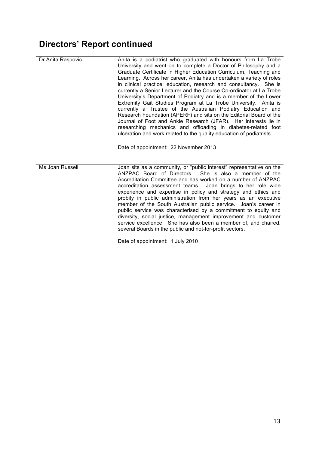| Dr Anita Raspovic | Anita is a podiatrist who graduated with honours from La Trobe<br>University and went on to complete a Doctor of Philosophy and a<br>Graduate Certificate in Higher Education Curriculum, Teaching and<br>Learning. Across her career, Anita has undertaken a variety of roles<br>in clinical practice, education, research and consultancy. She is<br>currently a Senior Lecturer and the Course Co-ordinator at La Trobe<br>University's Department of Podiatry and is a member of the Lower<br>Extremity Gait Studies Program at La Trobe University. Anita is<br>currently a Trustee of the Australian Podiatry Education and<br>Research Foundation (APERF) and sits on the Editorial Board of the<br>Journal of Foot and Ankle Research (JFAR). Her interests lie in<br>researching mechanics and offloading in diabetes-related foot<br>ulceration and work related to the quality education of podiatrists.<br>Date of appointment: 22 November 2013 |
|-------------------|--------------------------------------------------------------------------------------------------------------------------------------------------------------------------------------------------------------------------------------------------------------------------------------------------------------------------------------------------------------------------------------------------------------------------------------------------------------------------------------------------------------------------------------------------------------------------------------------------------------------------------------------------------------------------------------------------------------------------------------------------------------------------------------------------------------------------------------------------------------------------------------------------------------------------------------------------------------|
| Ms Joan Russell   | Joan sits as a community, or "public interest" representative on the<br>ANZPAC Board of Directors. She is also a member of the<br>Accreditation Committee and has worked on a number of ANZPAC<br>accreditation assessment teams. Joan brings to her role wide<br>experience and expertise in policy and strategy and ethics and<br>probity in public administration from her years as an executive<br>member of the South Australian public service. Joan's career in<br>public service was characterised by a commitment to equity and<br>diversity, social justice, management improvement and customer<br>service excellence. She has also been a member of, and chaired,<br>several Boards in the public and not-for-profit sectors.<br>Date of appointment: 1 July 2010                                                                                                                                                                                |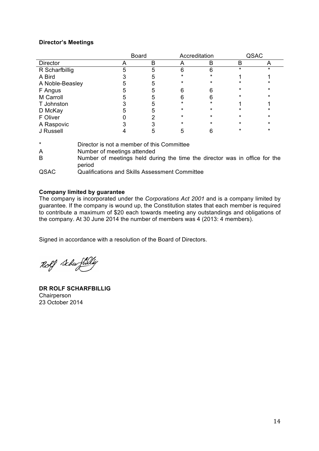#### **Director's Meetings**

|                 | <b>Board</b> |   |         | Accreditation |         | QSAC    |
|-----------------|--------------|---|---------|---------------|---------|---------|
| <b>Director</b> | А            | в | A       | В             | в       | A       |
| R Scharfbillig  |              | 5 | 6       | 6             | $\ast$  | *       |
| A Bird          |              | 5 | *       | $\star$       |         |         |
| A Noble-Beasley | 5            | 5 | $\star$ | $\star$       | *       | *       |
| F Angus         | 5            | 5 | 6       | 6             | $\star$ | $\star$ |
| M Carroll       |              | 5 | 6       | 6             | $\star$ | *       |
| T Johnston      |              | 5 | $\star$ | $\star$       |         |         |
| D McKay         |              | 5 | *       | $\star$       | *       | $\star$ |
| F Oliver        |              |   | $\star$ | $\star$       | $\star$ | $\star$ |
| A Raspovic      |              | っ | *       | $\star$       | $\star$ | $\star$ |
| J Russell       |              | 5 | 5       | 6             | $\star$ | $\ast$  |
|                 |              |   |         |               |         |         |

| $\star$     | Director is not a member of this Committee                                           |
|-------------|--------------------------------------------------------------------------------------|
| A           | Number of meetings attended                                                          |
| B           | Number of meetings held during the time the director was in office for the<br>period |
| <b>QSAC</b> | <b>Qualifications and Skills Assessment Committee</b>                                |

#### **Company limited by guarantee**

The company is incorporated under the *Corporations Act 2001* and is a company limited by guarantee. If the company is wound up, the Constitution states that each member is required to contribute a maximum of \$20 each towards meeting any outstandings and obligations of the company. At 30 June 2014 the number of members was 4 (2013: 4 members).

Signed in accordance with a resolution of the Board of Directors.

Rolf Schaftslig

**DR ROLF SCHARFBILLIG** Chairperson 23 October 2014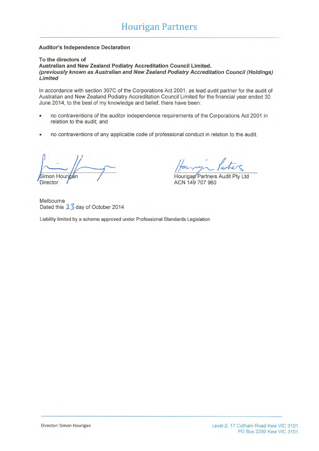#### **Auditor's Independence Declaration**

#### To the directors of

Australian and New Zealand Podiatry Accreditation Council Limited. (previously known as Australian and New Zealand Podiatry Accreditation Council (Holdings) Limited

In accordance with section 307C of the Corporations Act 2001, as lead audit partner for the audit of Australian and New Zealand Podiatry Accreditation Council Limited for the financial year ended 30 June 2014, to the best of my knowledge and belief, there have been:

- no contraventions of the auditor independence requirements of the Corporations Act 2001 in relation to the audit; and
- no contraventions of any applicable code of professional conduct in relation to the audit.

Simon Hourinan **Director** 

Hourigan Partners Audit Pty Ltd ACN 149 707 960

Melbourne Dated this 2 3 day of October 2014

Liability limited by a scheme approved under Professional Standards Legislation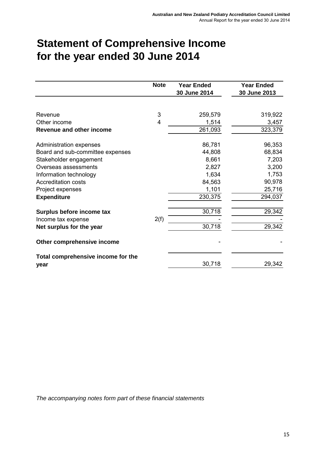# **Statement of Comprehensive Income for the year ended 30 June 2014**

| <b>Note</b>    | <b>Year Ended</b><br>30 June 2014 | <b>Year Ended</b><br>30 June 2013 |
|----------------|-----------------------------------|-----------------------------------|
|                |                                   |                                   |
| 3              | 259,579                           | 319,922                           |
| $\overline{4}$ |                                   | 3,457                             |
|                | 261,093                           | 323,379                           |
|                | 86,781                            | 96,353                            |
|                | 44,808                            | 68,834                            |
|                | 8,661                             | 7,203                             |
|                | 2,827                             | 3,200                             |
|                | 1,634                             | 1,753                             |
|                | 84,563                            | 90,978                            |
|                | 1,101                             | 25,716                            |
|                | 230,375                           | 294,037                           |
|                | 30,718                            | 29,342                            |
| 2(f)           |                                   |                                   |
|                | 30,718                            | 29,342                            |
|                |                                   |                                   |
|                |                                   | 29,342                            |
|                |                                   | 1,514<br>30,718                   |

*The accompanying notes form part of these financial statements*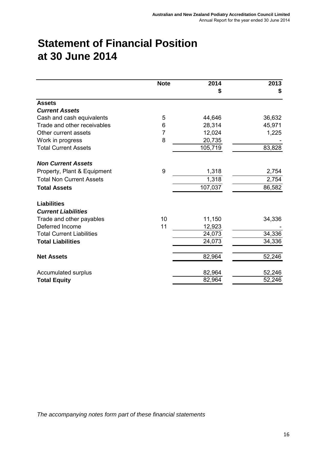# **Statement of Financial Position at 30 June 2014**

|                                  | <b>Note</b>    | 2014    | 2013   |
|----------------------------------|----------------|---------|--------|
|                                  |                | \$      | \$     |
| <b>Assets</b>                    |                |         |        |
| <b>Current Assets</b>            |                |         |        |
| Cash and cash equivalents        | 5              | 44,646  | 36,632 |
| Trade and other receivables      | 6              | 28,314  | 45,971 |
| Other current assets             | $\overline{7}$ | 12,024  | 1,225  |
| Work in progress                 | 8              | 20,735  |        |
| <b>Total Current Assets</b>      |                | 105,719 | 83,828 |
| <b>Non Current Assets</b>        |                |         |        |
| Property, Plant & Equipment      | 9              | 1,318   | 2,754  |
| <b>Total Non Current Assets</b>  |                | 1,318   | 2,754  |
| <b>Total Assets</b>              |                | 107,037 | 86,582 |
| <b>Liabilities</b>               |                |         |        |
| <b>Current Liabilities</b>       |                |         |        |
| Trade and other payables         | 10             | 11,150  | 34,336 |
| Deferred Income                  | 11             | 12,923  |        |
| <b>Total Current Liabilities</b> |                | 24,073  | 34,336 |
| <b>Total Liabilities</b>         |                | 24,073  | 34,336 |
| <b>Net Assets</b>                |                | 82,964  | 52,246 |
| Accumulated surplus              |                | 82,964  | 52,246 |
| <b>Total Equity</b>              |                | 82,964  | 52,246 |

*The accompanying notes form part of these financial statements*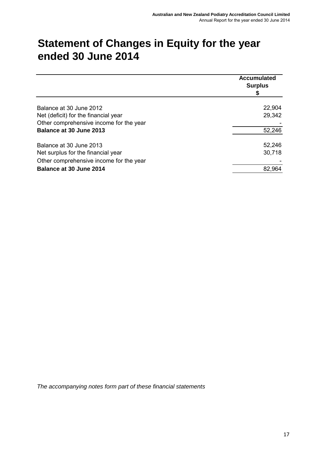# **Statement of Changes in Equity for the year ended 30 June 2014**

|                                         | <b>Accumulated</b><br><b>Surplus</b> |
|-----------------------------------------|--------------------------------------|
| Balance at 30 June 2012                 | 22,904                               |
| Net (deficit) for the financial year    | 29,342                               |
| Other comprehensive income for the year |                                      |
| Balance at 30 June 2013                 | 52,246                               |
| Balance at 30 June 2013                 | 52,246                               |
| Net surplus for the financial year      | 30,718                               |
| Other comprehensive income for the year |                                      |
| Balance at 30 June 2014                 | 82,964                               |

*The accompanying notes form part of these financial statements*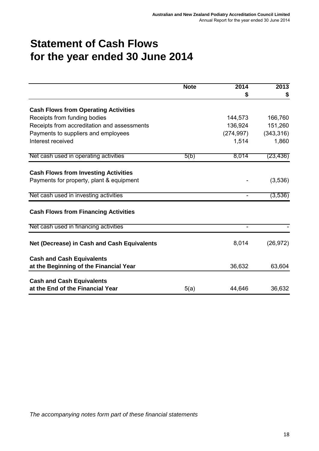# **Statement of Cash Flows for the year ended 30 June 2014**

|                                                                      | <b>Note</b> | 2014       | 2013       |
|----------------------------------------------------------------------|-------------|------------|------------|
|                                                                      |             | \$         | \$         |
| <b>Cash Flows from Operating Activities</b>                          |             |            |            |
| Receipts from funding bodies                                         |             | 144,573    | 166,760    |
| Receipts from accreditation and assessments                          |             | 136,924    | 151,260    |
| Payments to suppliers and employees                                  |             | (274, 997) | (343, 316) |
| Interest received                                                    |             | 1,514      | 1,860      |
| Net cash used in operating activities                                | 5(b)        | 8,014      | (23,436)   |
|                                                                      |             |            |            |
| <b>Cash Flows from Investing Activities</b>                          |             |            |            |
| Payments for property, plant & equipment                             |             |            | (3,536)    |
| Net cash used in investing activities                                |             |            | (3,536)    |
| <b>Cash Flows from Financing Activities</b>                          |             |            |            |
| Net cash used in financing activities                                |             |            |            |
| Net (Decrease) in Cash and Cash Equivalents                          |             | 8,014      | (26, 972)  |
| <b>Cash and Cash Equivalents</b>                                     |             |            |            |
| at the Beginning of the Financial Year                               |             | 36,632     | 63,604     |
|                                                                      |             |            |            |
| <b>Cash and Cash Equivalents</b><br>at the End of the Financial Year | 5(a)        | 44,646     | 36,632     |
|                                                                      |             |            |            |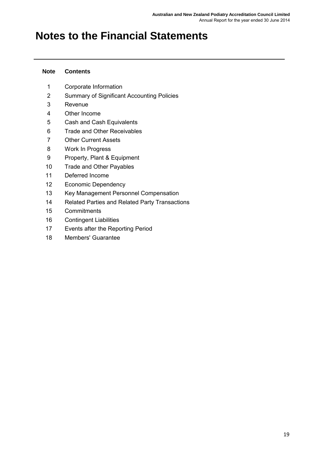#### **Note Contents**

- Corporate Information
- Summary of Significant Accounting Policies
- Revenue
- Other Income
- Cash and Cash Equivalents
- Trade and Other Receivables
- Other Current Assets
- Work In Progress
- Property, Plant & Equipment
- Trade and Other Payables
- Deferred Income
- Economic Dependency
- Key Management Personnel Compensation
- Related Parties and Related Party Transactions
- Commitments
- Contingent Liabilities
- Events after the Reporting Period
- Members' Guarantee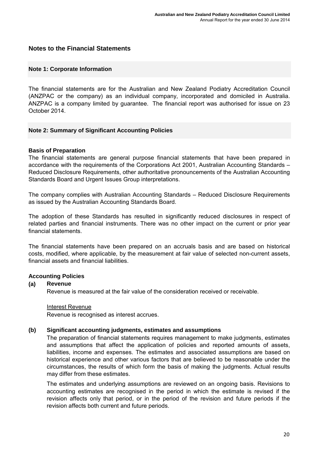#### **Note 1: Corporate Information**

The financial statements are for the Australian and New Zealand Podiatry Accreditation Council (ANZPAC or the company) as an individual company, incorporated and domiciled in Australia. ANZPAC is a company limited by guarantee. The financial report was authorised for issue on 23 October 2014.

#### **Note 2: Summary of Significant Accounting Policies**

#### **Basis of Preparation**

The financial statements are general purpose financial statements that have been prepared in accordance with the requirements of the Corporations Act 2001, Australian Accounting Standards – Reduced Disclosure Requirements, other authoritative pronouncements of the Australian Accounting Standards Board and Urgent Issues Group interpretations.

The company complies with Australian Accounting Standards – Reduced Disclosure Requirements as issued by the Australian Accounting Standards Board.

The adoption of these Standards has resulted in significantly reduced disclosures in respect of related parties and financial instruments. There was no other impact on the current or prior year financial statements.

The financial statements have been prepared on an accruals basis and are based on historical costs, modified, where applicable, by the measurement at fair value of selected non-current assets, financial assets and financial liabilities.

#### **Accounting Policies**

#### **(a) Revenue**

Revenue is measured at the fair value of the consideration received or receivable.

#### Interest Revenue

Revenue is recognised as interest accrues.

#### **(b) Significant accounting judgments, estimates and assumptions**

The preparation of financial statements requires management to make judgments, estimates and assumptions that affect the application of policies and reported amounts of assets, liabilities, income and expenses. The estimates and associated assumptions are based on historical experience and other various factors that are believed to be reasonable under the circumstances, the results of which form the basis of making the judgments. Actual results may differ from these estimates.

The estimates and underlying assumptions are reviewed on an ongoing basis. Revisions to accounting estimates are recognised in the period in which the estimate is revised if the revision affects only that period, or in the period of the revision and future periods if the revision affects both current and future periods.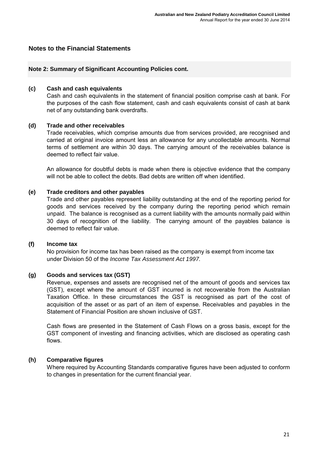#### **Note 2: Summary of Significant Accounting Policies cont.**

#### **(c) Cash and cash equivalents**

Cash and cash equivalents in the statement of financial position comprise cash at bank. For the purposes of the cash flow statement, cash and cash equivalents consist of cash at bank net of any outstanding bank overdrafts.

#### **(d) Trade and other receivables**

Trade receivables, which comprise amounts due from services provided, are recognised and carried at original invoice amount less an allowance for any uncollectable amounts. Normal terms of settlement are within 30 days. The carrying amount of the receivables balance is deemed to reflect fair value.

An allowance for doubtful debts is made when there is objective evidence that the company will not be able to collect the debts. Bad debts are written off when identified.

#### **(e) Trade creditors and other payables**

Trade and other payables represent liability outstanding at the end of the reporting period for goods and services received by the company during the reporting period which remain unpaid. The balance is recognised as a current liability with the amounts normally paid within 30 days of recognition of the liability. The carrying amount of the payables balance is deemed to reflect fair value.

#### **(f) Income tax**

No provision for income tax has been raised as the company is exempt from income tax under Division 50 of the *Income Tax Assessment Act 1997.*

#### **(g) Goods and services tax (GST)**

Revenue, expenses and assets are recognised net of the amount of goods and services tax (GST), except where the amount of GST incurred is not recoverable from the Australian Taxation Office. In these circumstances the GST is recognised as part of the cost of acquisition of the asset or as part of an item of expense. Receivables and payables in the Statement of Financial Position are shown inclusive of GST.

Cash flows are presented in the Statement of Cash Flows on a gross basis, except for the GST component of investing and financing activities, which are disclosed as operating cash flows.

#### **(h) Comparative figures**

Where required by Accounting Standards comparative figures have been adjusted to conform to changes in presentation for the current financial year.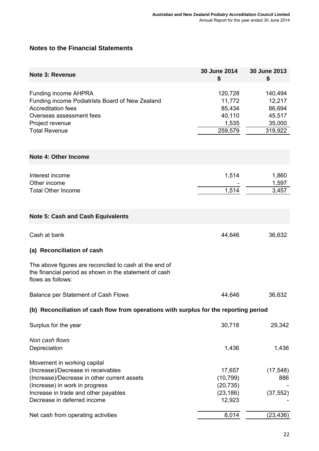| <b>Note 3: Revenue</b>                                                                                                                                                                                                    | 30 June 2014<br>\$                                        | 30 June 2013<br>\$                                         |
|---------------------------------------------------------------------------------------------------------------------------------------------------------------------------------------------------------------------------|-----------------------------------------------------------|------------------------------------------------------------|
| <b>Funding income AHPRA</b><br>Funding income Podiatrists Board of New Zealand<br><b>Accreditation fees</b><br>Overseas assessment fees<br>Project revenue<br><b>Total Revenue</b>                                        | 120,728<br>11,772<br>85,434<br>40,110<br>1,535<br>259,579 | 140,494<br>12,217<br>86,694<br>45,517<br>35,000<br>319,922 |
| <b>Note 4: Other Income</b>                                                                                                                                                                                               |                                                           |                                                            |
| Interest income<br>Other income<br><b>Total Other Income</b>                                                                                                                                                              | 1,514<br>1,514                                            | 1,860<br>1,597<br>3,457                                    |
| <b>Note 5: Cash and Cash Equivalents</b>                                                                                                                                                                                  |                                                           |                                                            |
| Cash at bank                                                                                                                                                                                                              | 44,646                                                    | 36,632                                                     |
| (a) Reconciliation of cash                                                                                                                                                                                                |                                                           |                                                            |
| The above figures are reconciled to cash at the end of<br>the financial period as shown in the statement of cash<br>flows as follows:                                                                                     |                                                           |                                                            |
| Balance per Statement of Cash Flows                                                                                                                                                                                       | 44,646                                                    | 36,632                                                     |
| (b) Reconciliation of cash flow from operations with surplus for the reporting period                                                                                                                                     |                                                           |                                                            |
| Surplus for the year                                                                                                                                                                                                      | 30,718                                                    | 29,342                                                     |
| Non cash flows<br>Depreciation                                                                                                                                                                                            | 1,436                                                     | 1,436                                                      |
| Movement in working capital<br>(Increase)/Decrease in receivables<br>(Increase)/Decrease in other current assets<br>(Increase) in work in progress<br>Increase in trade and other payables<br>Decrease in deferred income | 17,657<br>(10, 799)<br>(20, 735)<br>(23, 186)<br>12,923   | (17, 548)<br>886<br>(37, 552)                              |
| Net cash from operating activities                                                                                                                                                                                        | 8,014                                                     | (23, 436)                                                  |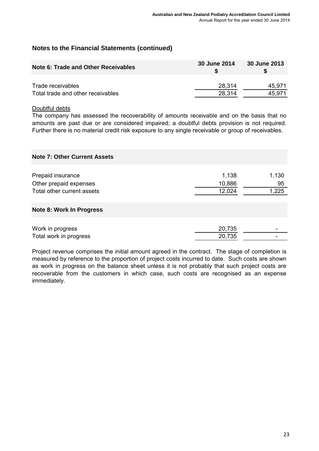| Note 6: Trade and Other Receivables | 30 June 2014 | 30 June 2013 |
|-------------------------------------|--------------|--------------|
| Trade receivables                   | 28,314       | 45.971       |
| Total trade and other receivables   | 28,314       | 45.971       |

#### Doubtful debts

The company has assessed the recoverability of amounts receivable and on the basis that no amounts are past due or are considered impaired; a doubtful debts provision is not required. Further there is no material credit risk exposure to any single receivable or group of receivables.

| <b>Note 7: Other Current Assets</b>                                       |                           |                      |
|---------------------------------------------------------------------------|---------------------------|----------------------|
| Prepaid insurance<br>Other prepaid expenses<br>Total other current assets | 1,138<br>10,886<br>12,024 | 1,130<br>95<br>1,225 |
| Note 8: Work In Progress                                                  |                           |                      |
| Work in progress<br>Total work in progress                                | 20,735<br>20,735          |                      |

Project revenue comprises the initial amount agreed in the contract. The stage of completion is measured by reference to the proportion of project costs incurred to date. Such costs are shown as work in progress on the balance sheet unless it is not probably that such project costs are recoverable from the customers in which case, such costs are recognised as an expense immediately.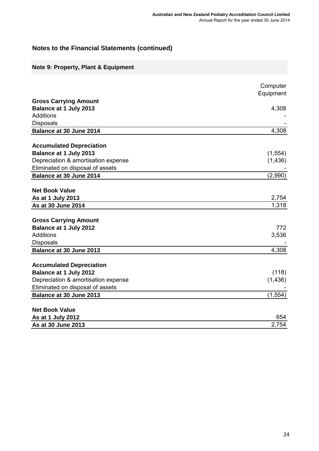| Note 9: Property, Plant & Equipment                                     |                       |
|-------------------------------------------------------------------------|-----------------------|
|                                                                         | Computer<br>Equipment |
| <b>Gross Carrying Amount</b>                                            |                       |
| <b>Balance at 1 July 2013</b>                                           | 4,308                 |
| <b>Additions</b>                                                        |                       |
| <b>Disposals</b>                                                        |                       |
| Balance at 30 June 2014                                                 | 4,308                 |
|                                                                         |                       |
| <b>Accumulated Depreciation</b><br><b>Balance at 1 July 2013</b>        |                       |
| Depreciation & amortisation expense                                     | (1, 554)<br>(1, 436)  |
| Eliminated on disposal of assets                                        |                       |
| Balance at 30 June 2014                                                 | (2,990)               |
|                                                                         |                       |
| <b>Net Book Value</b>                                                   |                       |
| As at 1 July 2013                                                       | 2,754                 |
| As at 30 June 2014                                                      | 1,318                 |
|                                                                         |                       |
| <b>Gross Carrying Amount</b>                                            |                       |
| <b>Balance at 1 July 2012</b>                                           | 772                   |
| <b>Additions</b>                                                        | 3,536                 |
| <b>Disposals</b>                                                        |                       |
| Balance at 30 June 2013                                                 | 4,308                 |
|                                                                         |                       |
| <b>Accumulated Depreciation</b>                                         |                       |
| <b>Balance at 1 July 2012</b>                                           | (118)                 |
| Depreciation & amortisation expense<br>Eliminated on disposal of assets | (1, 436)              |
| Balance at 30 June 2013                                                 | (1, 554)              |
|                                                                         |                       |
| <b>Net Book Value</b>                                                   |                       |
| As at 1 July 2012                                                       | 654                   |
| As at 30 June 2013                                                      | 2,754                 |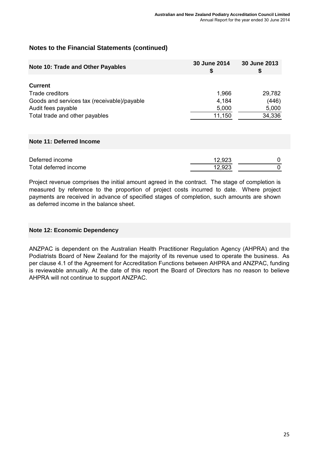| Note 10: Trade and Other Payables           | 30 June 2014<br>S | 30 June 2013<br>\$ |
|---------------------------------------------|-------------------|--------------------|
| <b>Current</b>                              |                   |                    |
| Trade creditors                             | 1,966             | 29,782             |
| Goods and services tax (receivable)/payable | 4,184             | (446)              |
| Audit fees payable                          | 5,000             | 5,000              |
| Total trade and other payables              | 11,150            | 34,336             |

#### **Note 11: Deferred Income**

| Deferred income       | 12,923 |  |
|-----------------------|--------|--|
| Total deferred income | 12,923 |  |

Project revenue comprises the initial amount agreed in the contract. The stage of completion is measured by reference to the proportion of project costs incurred to date. Where project payments are received in advance of specified stages of completion, such amounts are shown as deferred income in the balance sheet.

### **Note 12: Economic Dependency**

ANZPAC is dependent on the Australian Health Practitioner Regulation Agency (AHPRA) and the Podiatrists Board of New Zealand for the majority of its revenue used to operate the business. As per clause 4.1 of the Agreement for Accreditation Functions between AHPRA and ANZPAC, funding is reviewable annually. At the date of this report the Board of Directors has no reason to believe AHPRA will not continue to support ANZPAC.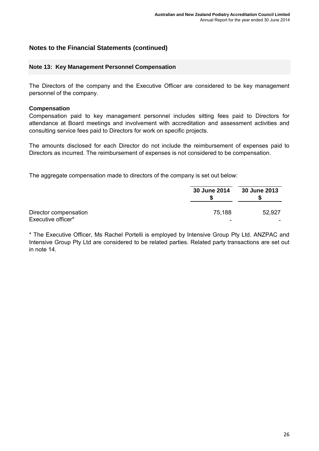#### **Note 13: Key Management Personnel Compensation**

The Directors of the company and the Executive Officer are considered to be key management personnel of the company.

#### **Compensation**

Compensation paid to key management personnel includes sitting fees paid to Directors for attendance at Board meetings and involvement with accreditation and assessment activities and consulting service fees paid to Directors for work on specific projects.

The amounts disclosed for each Director do not include the reimbursement of expenses paid to Directors as incurred. The reimbursement of expenses is not considered to be compensation.

The aggregate compensation made to directors of the company is set out below:

|                                             | 30 June 2014 | 30 June 2013 |
|---------------------------------------------|--------------|--------------|
| Director compensation<br>Executive officer* | 75.188<br>-  | 52,927       |

\* The Executive Officer, Ms Rachel Portelli is employed by Intensive Group Pty Ltd. ANZPAC and Intensive Group Pty Ltd are considered to be related parties. Related party transactions are set out in note 14.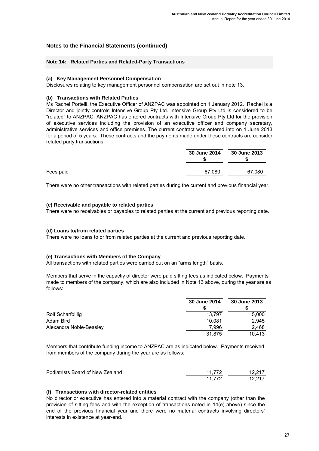#### **Note 14: Related Parties and Related-Party Transactions**

#### **(a) Key Management Personnel Compensation**

Disclosures relating to key management personnel compensation are set out in note 13.

#### **(b) Transactions with Related Parties**

Ms Rachel Portelli, the Executive Officer of ANZPAC was appointed on 1 January 2012. Rachel is a Director and jointly controls Intensive Group Pty Ltd. Intensive Group Pty Ltd is considered to be "related" to ANZPAC. ANZPAC has entered contracts with Intensive Group Pty Ltd for the provision of executive services including the provision of an executive officer and company secretary, administrative services and office premises. The current contract was entered into on 1 June 2013 for a period of 5 years. These contracts and the payments made under these contracts are consider related party transactions.

|           | 30 June 2014 | 30 June 2013 |
|-----------|--------------|--------------|
| Fees paid | 67,080       | 67,080       |

There were no other transactions with related parties during the current and previous financial year.

#### **(c) Receivable and payable to related parties**

There were no receivables or payables to related parties at the current and previous reporting date.

#### **(d) Loans to/from related parties**

There were no loans to or from related parties at the current and previous reporting date.

#### **(e) Transactions with Members of the Company**

All transactions with related parties were carried out on an "arms length" basis.

Members that serve in the capactiy of director were paid sitting fees as indicated below. Payments made to members of the company, which are also included in Note 13 above, during the year are as follows:

|                         | 30 June 2014 | 30 June 2013 |
|-------------------------|--------------|--------------|
| Rolf Scharfbillig       | 13.797       | 5,000        |
| Adam Bird               | 10.081       | 2.945        |
| Alexandra Noble-Beasley | 7.996        | 2.468        |
|                         | 31.875       | 10,413       |

Members that contribute funding income to ANZPAC are as indicated below. Payments received from members of the company during the year are as follows:

| Podiatrists Board of New Zealand | 11.772 | 12.217 |
|----------------------------------|--------|--------|
|                                  | 11772  | 12.217 |

#### **(f) Transactions with director-related entities**

No director or executive has entered into a material contract with the company (other than the provision of sitting fees and with the exception of transactions noted in 14(e) above) since the end of the previous financial year and there were no material contracts involving directors' interests in existence at year-end.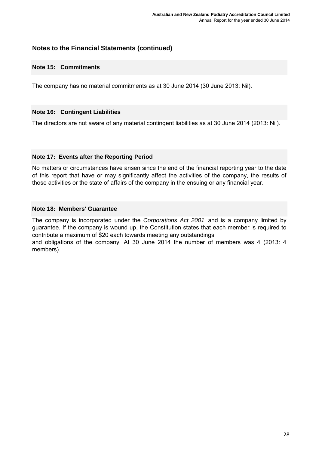#### **Note 15: Commitments**

The company has no material commitments as at 30 June 2014 (30 June 2013: Nil).

#### **Note 16: Contingent Liabilities**

The directors are not aware of any material contingent liabilities as at 30 June 2014 (2013: Nil).

### **Note 17: Events after the Reporting Period**

No matters or circumstances have arisen since the end of the financial reporting year to the date of this report that have or may significantly affect the activities of the company, the results of those activities or the state of affairs of the company in the ensuing or any financial year.

### **Note 18: Members' Guarantee**

The company is incorporated under the *Corporations Act 2001* and is a company limited by guarantee. If the company is wound up, the Constitution states that each member is required to contribute a maximum of \$20 each towards meeting any outstandings and obligations of the company. At 30 June 2014 the number of members was 4 (2013: 4 members).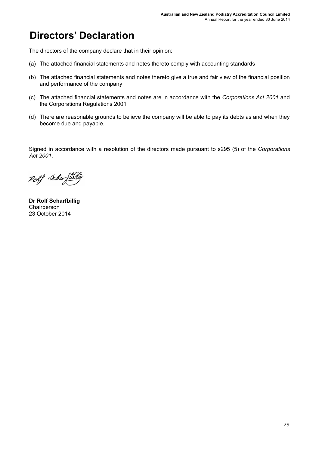# **Directors' Declaration**

The directors of the company declare that in their opinion:

- (a) The attached financial statements and notes thereto comply with accounting standards
- (b) The attached financial statements and notes thereto give a true and fair view of the financial position and performance of the company
- (c) The attached financial statements and notes are in accordance with the *Corporations Act 2001* and the Corporations Regulations 2001
- (d) There are reasonable grounds to believe the company will be able to pay its debts as and when they become due and payable.

Signed in accordance with a resolution of the directors made pursuant to s295 (5) of the *Corporations Act 2001*.

Rolf Schaftslig

23 October 2014 **Dr Rolf Scharfbillig** Chairperson